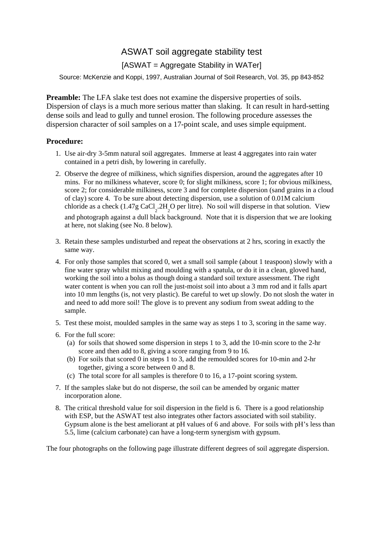## ASWAT soil aggregate stability test

## [ASWAT = Aggregate Stability in WATer]

Source: McKenzie and Koppi, 1997, Australian Journal of Soil Research, Vol. 35, pp 843-852

**Preamble:** The LFA slake test does not examine the dispersive properties of soils. Dispersion of clays is a much more serious matter than slaking. It can result in hard-setting dense soils and lead to gully and tunnel erosion. The following procedure assesses the dispersion character of soil samples on a 17-point scale, and uses simple equipment.

## **Procedure:**

- 1. Use air-dry 3-5mm natural soil aggregates. Immerse at least 4 aggregates into rain water contained in a petri dish, by lowering in carefully.
- 2. Observe the degree of milkiness, which signifies dispersion, around the aggregates after 10 mins. For no milkiness whatever, score 0; for slight milkiness, score 1; for obvious milkiness, score 2; for considerable milkiness, score 3 and for complete dispersion (sand grains in a cloud of clay) score 4. To be sure about detecting dispersion, use a solution of 0.01M calcium chloride as a check  $(1.47g \text{ CaCl}_2.2H_2O$  per litre). No soil will disperse in that solution. View and photograph against a dull black background. Note that it is dispersion that we are looking at here, not slaking (see No. 8 below).
- 3. Retain these samples undisturbed and repeat the observations at 2 hrs, scoring in exactly the same way.
- 4. For only those samples that scored 0, wet a small soil sample (about 1 teaspoon) slowly with a fine water spray whilst mixing and moulding with a spatula, or do it in a clean, gloved hand, working the soil into a bolus as though doing a standard soil texture assessment. The right water content is when you can roll the just-moist soil into about a 3 mm rod and it falls apart into 10 mm lengths (is, not very plastic). Be careful to wet up slowly. Do not slosh the water in and need to add more soil! The glove is to prevent any sodium from sweat adding to the sample.
- 5. Test these moist, moulded samples in the same way as steps 1 to 3, scoring in the same way.
- 6. For the full score:
	- (a) for soils that showed some dispersion in steps 1 to 3, add the 10-min score to the 2-hr score and then add to 8, giving a score ranging from 9 to 16.
	- (b) For soils that scored 0 in steps 1 to 3, add the remoulded scores for 10-min and 2-hr together, giving a score between 0 and 8.
	- (c) The total score for all samples is therefore 0 to 16, a 17-point scoring system.
- 7. If the samples slake but do not disperse, the soil can be amended by organic matter incorporation alone.
- 8. The critical threshold value for soil dispersion in the field is 6. There is a good relationship with ESP, but the ASWAT test also integrates other factors associated with soil stability. Gypsum alone is the best ameliorant at pH values of 6 and above. For soils with pH's less than 5.5, lime (calcium carbonate) can have a long-term synergism with gypsum.

The four photographs on the following page illustrate different degrees of soil aggregate dispersion.